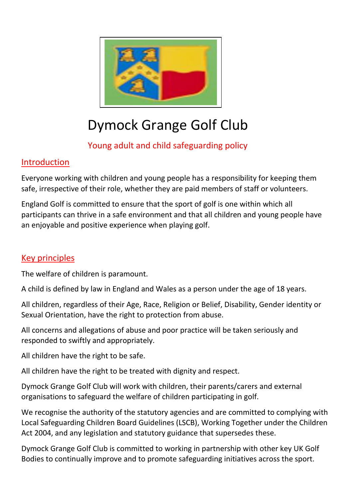

# Dymock Grange Golf Club

# Young adult and child safeguarding policy

## Introduction

Everyone working with children and young people has a responsibility for keeping them safe, irrespective of their role, whether they are paid members of staff or volunteers.

England Golf is committed to ensure that the sport of golf is one within which all participants can thrive in a safe environment and that all children and young people have an enjoyable and positive experience when playing golf.

### Key principles

The welfare of children is paramount.

A child is defined by law in England and Wales as a person under the age of 18 years.

All children, regardless of their Age, Race, Religion or Belief, Disability, Gender identity or Sexual Orientation, have the right to protection from abuse.

All concerns and allegations of abuse and poor practice will be taken seriously and responded to swiftly and appropriately.

All children have the right to be safe.

All children have the right to be treated with dignity and respect.

Dymock Grange Golf Club will work with children, their parents/carers and external organisations to safeguard the welfare of children participating in golf.

We recognise the authority of the statutory agencies and are committed to complying with Local Safeguarding Children Board Guidelines (LSCB), Working Together under the Children Act 2004, and any legislation and statutory guidance that supersedes these.

Dymock Grange Golf Club is committed to working in partnership with other key UK Golf Bodies to continually improve and to promote safeguarding initiatives across the sport.